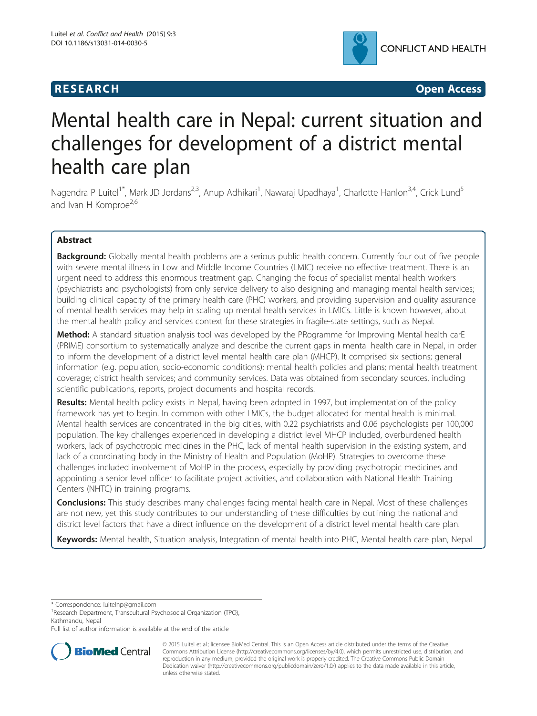## **RESEARCH CHILD CONTROL** CONTROL CONTROL CONTROL CONTROL CONTROL CONTROL CONTROL CONTROL CONTROL CONTROL CONTROL CONTROL CONTROL CONTROL CONTROL CONTROL CONTROL CONTROL CONTROL CONTROL CONTROL CONTROL CONTROL CONTROL CONTR



# Mental health care in Nepal: current situation and challenges for development of a district mental health care plan

Nagendra P Luitel<sup>1\*</sup>, Mark JD Jordans<sup>2,3</sup>, Anup Adhikari<sup>1</sup>, Nawaraj Upadhaya<sup>1</sup>, Charlotte Hanlon<sup>3,4</sup>, Crick Lund<sup>5</sup> and Ivan H Komproe<sup>2,6</sup>

## Abstract

**Background:** Globally mental health problems are a serious public health concern. Currently four out of five people with severe mental illness in Low and Middle Income Countries (LMIC) receive no effective treatment. There is an urgent need to address this enormous treatment gap. Changing the focus of specialist mental health workers (psychiatrists and psychologists) from only service delivery to also designing and managing mental health services; building clinical capacity of the primary health care (PHC) workers, and providing supervision and quality assurance of mental health services may help in scaling up mental health services in LMICs. Little is known however, about the mental health policy and services context for these strategies in fragile-state settings, such as Nepal.

Method: A standard situation analysis tool was developed by the PRogramme for Improving Mental health carE (PRIME) consortium to systematically analyze and describe the current gaps in mental health care in Nepal, in order to inform the development of a district level mental health care plan (MHCP). It comprised six sections; general information (e.g. population, socio-economic conditions); mental health policies and plans; mental health treatment coverage; district health services; and community services. Data was obtained from secondary sources, including scientific publications, reports, project documents and hospital records.

Results: Mental health policy exists in Nepal, having been adopted in 1997, but implementation of the policy framework has yet to begin. In common with other LMICs, the budget allocated for mental health is minimal. Mental health services are concentrated in the big cities, with 0.22 psychiatrists and 0.06 psychologists per 100,000 population. The key challenges experienced in developing a district level MHCP included, overburdened health workers, lack of psychotropic medicines in the PHC, lack of mental health supervision in the existing system, and lack of a coordinating body in the Ministry of Health and Population (MoHP). Strategies to overcome these challenges included involvement of MoHP in the process, especially by providing psychotropic medicines and appointing a senior level officer to facilitate project activities, and collaboration with National Health Training Centers (NHTC) in training programs.

Conclusions: This study describes many challenges facing mental health care in Nepal. Most of these challenges are not new, yet this study contributes to our understanding of these difficulties by outlining the national and district level factors that have a direct influence on the development of a district level mental health care plan.

Keywords: Mental health, Situation analysis, Integration of mental health into PHC, Mental health care plan, Nepal

\* Correspondence: [luitelnp@gmail.com](mailto:luitelnp@gmail.com) <sup>1</sup>

<sup>1</sup>Research Department, Transcultural Psychosocial Organization (TPO), Kathmandu, Nepal

Full list of author information is available at the end of the article



<sup>© 2015</sup> Luitel et al.; licensee BioMed Central. This is an Open Access article distributed under the terms of the Creative Commons Attribution License [\(http://creativecommons.org/licenses/by/4.0\)](http://creativecommons.org/licenses/by/4.0), which permits unrestricted use, distribution, and reproduction in any medium, provided the original work is properly credited. The Creative Commons Public Domain Dedication waiver [\(http://creativecommons.org/publicdomain/zero/1.0/](http://creativecommons.org/publicdomain/zero/1.0/)) applies to the data made available in this article, unless otherwise stated.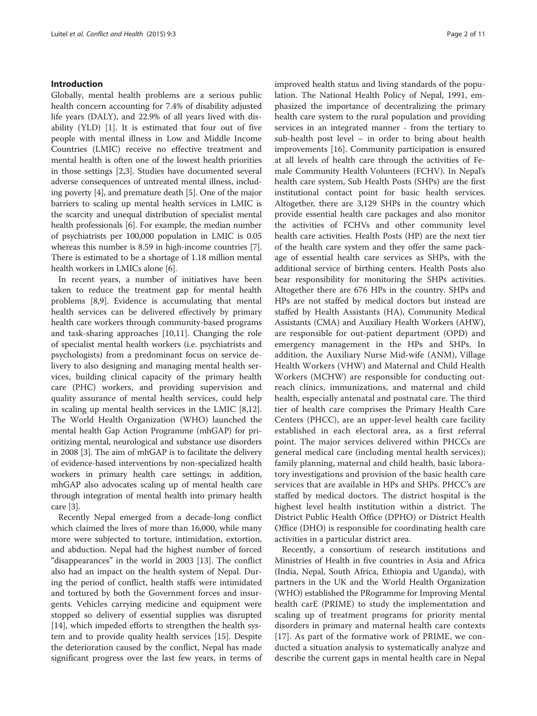#### Introduction

Globally, mental health problems are a serious public health concern accounting for 7.4% of disability adjusted life years (DALY), and 22.9% of all years lived with disability (YLD) [[1\]](#page-9-0). It is estimated that four out of five people with mental illness in Low and Middle Income Countries (LMIC) receive no effective treatment and mental health is often one of the lowest health priorities in those settings [[2,3\]](#page-9-0). Studies have documented several adverse consequences of untreated mental illness, including poverty [\[4](#page-9-0)], and premature death [\[5\]](#page-9-0). One of the major barriers to scaling up mental health services in LMIC is the scarcity and unequal distribution of specialist mental health professionals [\[6](#page-9-0)]. For example, the median number of psychiatrists per 100,000 population in LMIC is 0.05 whereas this number is 8.59 in high-income countries [[7](#page-9-0)]. There is estimated to be a shortage of 1.18 million mental health workers in LMICs alone [[6](#page-9-0)].

In recent years, a number of initiatives have been taken to reduce the treatment gap for mental health problems [[8](#page-9-0),[9](#page-9-0)]. Evidence is accumulating that mental health services can be delivered effectively by primary health care workers through community-based programs and task-sharing approaches [[10,11\]](#page-9-0). Changing the role of specialist mental health workers (i.e. psychiatrists and psychologists) from a predominant focus on service delivery to also designing and managing mental health services, building clinical capacity of the primary health care (PHC) workers, and providing supervision and quality assurance of mental health services, could help in scaling up mental health services in the LMIC [\[8,12](#page-9-0)]. The World Health Organization (WHO) launched the mental health Gap Action Programme (mhGAP) for prioritizing mental, neurological and substance use disorders in 2008 [\[3](#page-9-0)]. The aim of mhGAP is to facilitate the delivery of evidence-based interventions by non-specialized health workers in primary health care settings; in addition, mhGAP also advocates scaling up of mental health care through integration of mental health into primary health care [\[3\]](#page-9-0).

Recently Nepal emerged from a decade-long conflict which claimed the lives of more than 16,000, while many more were subjected to torture, intimidation, extortion, and abduction. Nepal had the highest number of forced "disappearances" in the world in 2003 [[13](#page-9-0)]. The conflict also had an impact on the health system of Nepal. During the period of conflict, health staffs were intimidated and tortured by both the Government forces and insurgents. Vehicles carrying medicine and equipment were stopped so delivery of essential supplies was disrupted [[14\]](#page-9-0), which impeded efforts to strengthen the health system and to provide quality health services [[15\]](#page-9-0). Despite the deterioration caused by the conflict, Nepal has made significant progress over the last few years, in terms of improved health status and living standards of the population. The National Health Policy of Nepal, 1991, emphasized the importance of decentralizing the primary health care system to the rural population and providing services in an integrated manner - from the tertiary to sub-health post level – in order to bring about health improvements [\[16\]](#page-9-0). Community participation is ensured at all levels of health care through the activities of Female Community Health Volunteers (FCHV). In Nepal's health care system, Sub Health Posts (SHPs) are the first institutional contact point for basic health services. Altogether, there are 3,129 SHPs in the country which provide essential health care packages and also monitor the activities of FCHVs and other community level health care activities. Health Posts (HP) are the next tier of the health care system and they offer the same package of essential health care services as SHPs, with the additional service of birthing centers. Health Posts also bear responsibility for monitoring the SHPs activities. Altogether there are 676 HPs in the country. SHPs and HPs are not staffed by medical doctors but instead are staffed by Health Assistants (HA), Community Medical Assistants (CMA) and Auxiliary Health Workers (AHW), are responsible for out-patient department (OPD) and emergency management in the HPs and SHPs. In addition, the Auxiliary Nurse Mid-wife (ANM), Village Health Workers (VHW) and Maternal and Child Health Workers (MCHW) are responsible for conducting outreach clinics, immunizations, and maternal and child health, especially antenatal and postnatal care. The third tier of health care comprises the Primary Health Care Centers (PHCC), are an upper-level health care facility established in each electoral area, as a first referral point. The major services delivered within PHCCs are general medical care (including mental health services); family planning, maternal and child health, basic laboratory investigations and provision of the basic health care services that are available in HPs and SHPs. PHCC's are staffed by medical doctors. The district hospital is the highest level health institution within a district. The District Public Health Office (DPHO) or District Health Office (DHO) is responsible for coordinating health care activities in a particular district area.

Recently, a consortium of research institutions and Ministries of Health in five countries in Asia and Africa (India, Nepal, South Africa, Ethiopia and Uganda), with partners in the UK and the World Health Organization (WHO) established the PRogramme for Improving Mental health carE (PRIME) to study the implementation and scaling up of treatment programs for priority mental disorders in primary and maternal health care contexts [[17\]](#page-9-0). As part of the formative work of PRIME, we conducted a situation analysis to systematically analyze and describe the current gaps in mental health care in Nepal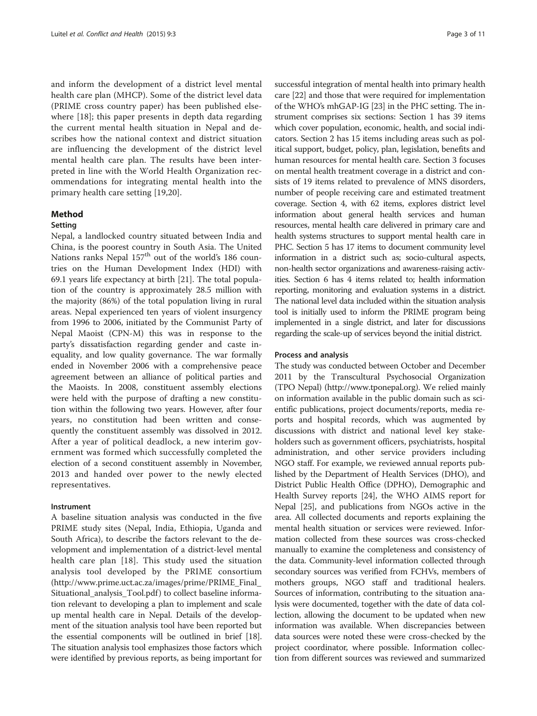and inform the development of a district level mental health care plan (MHCP). Some of the district level data (PRIME cross country paper) has been published elsewhere [[18\]](#page-9-0); this paper presents in depth data regarding the current mental health situation in Nepal and describes how the national context and district situation are influencing the development of the district level mental health care plan. The results have been interpreted in line with the World Health Organization recommendations for integrating mental health into the primary health care setting [[19,20](#page-9-0)].

#### Method

#### Setting

Nepal, a landlocked country situated between India and China, is the poorest country in South Asia. The United Nations ranks Nepal 157<sup>th</sup> out of the world's 186 countries on the Human Development Index (HDI) with 69.1 years life expectancy at birth [\[21](#page-9-0)]. The total population of the country is approximately 28.5 million with the majority (86%) of the total population living in rural areas. Nepal experienced ten years of violent insurgency from 1996 to 2006, initiated by the Communist Party of Nepal Maoist (CPN-M) this was in response to the party's dissatisfaction regarding gender and caste inequality, and low quality governance. The war formally ended in November 2006 with a comprehensive peace agreement between an alliance of political parties and the Maoists. In 2008, constituent assembly elections were held with the purpose of drafting a new constitution within the following two years. However, after four years, no constitution had been written and consequently the constituent assembly was dissolved in 2012. After a year of political deadlock, a new interim government was formed which successfully completed the election of a second constituent assembly in November, 2013 and handed over power to the newly elected representatives.

#### Instrument

A baseline situation analysis was conducted in the five PRIME study sites (Nepal, India, Ethiopia, Uganda and South Africa), to describe the factors relevant to the development and implementation of a district-level mental health care plan [[18\]](#page-9-0). This study used the situation analysis tool developed by the PRIME consortium ([http://www.prime.uct.ac.za/images/prime/PRIME\\_Final\\_](http://www.prime.uct.ac.za/images/prime/PRIME_Final_Situational_analysis_Tool.pdf) [Situational\\_analysis\\_Tool.pdf](http://www.prime.uct.ac.za/images/prime/PRIME_Final_Situational_analysis_Tool.pdf) ) to collect baseline information relevant to developing a plan to implement and scale up mental health care in Nepal. Details of the development of the situation analysis tool have been reported but the essential components will be outlined in brief [[18](#page-9-0)]. The situation analysis tool emphasizes those factors which were identified by previous reports, as being important for

successful integration of mental health into primary health care [\[22\]](#page-9-0) and those that were required for implementation of the WHO's mhGAP-IG [[23](#page-9-0)] in the PHC setting. The instrument comprises six sections: Section 1 has 39 items which cover population, economic, health, and social indicators. Section 2 has 15 items including areas such as political support, budget, policy, plan, legislation, benefits and human resources for mental health care. Section 3 focuses on mental health treatment coverage in a district and consists of 19 items related to prevalence of MNS disorders, number of people receiving care and estimated treatment coverage. Section 4, with 62 items, explores district level information about general health services and human resources, mental health care delivered in primary care and health systems structures to support mental health care in PHC. Section 5 has 17 items to document community level information in a district such as; socio-cultural aspects, non-health sector organizations and awareness-raising activities. Section 6 has 4 items related to; health information reporting, monitoring and evaluation systems in a district. The national level data included within the situation analysis tool is initially used to inform the PRIME program being implemented in a single district, and later for discussions regarding the scale-up of services beyond the initial district.

#### Process and analysis

The study was conducted between October and December 2011 by the Transcultural Psychosocial Organization (TPO Nepal) [\(http://www.tponepal.org](http://www.tponepal.org)). We relied mainly on information available in the public domain such as scientific publications, project documents/reports, media reports and hospital records, which was augmented by discussions with district and national level key stakeholders such as government officers, psychiatrists, hospital administration, and other service providers including NGO staff. For example, we reviewed annual reports published by the Department of Health Services (DHO), and District Public Health Office (DPHO), Demographic and Health Survey reports [[24](#page-9-0)], the WHO AIMS report for Nepal [\[25](#page-9-0)], and publications from NGOs active in the area. All collected documents and reports explaining the mental health situation or services were reviewed. Information collected from these sources was cross-checked manually to examine the completeness and consistency of the data. Community-level information collected through secondary sources was verified from FCHVs, members of mothers groups, NGO staff and traditional healers. Sources of information, contributing to the situation analysis were documented, together with the date of data collection, allowing the document to be updated when new information was available. When discrepancies between data sources were noted these were cross-checked by the project coordinator, where possible. Information collection from different sources was reviewed and summarized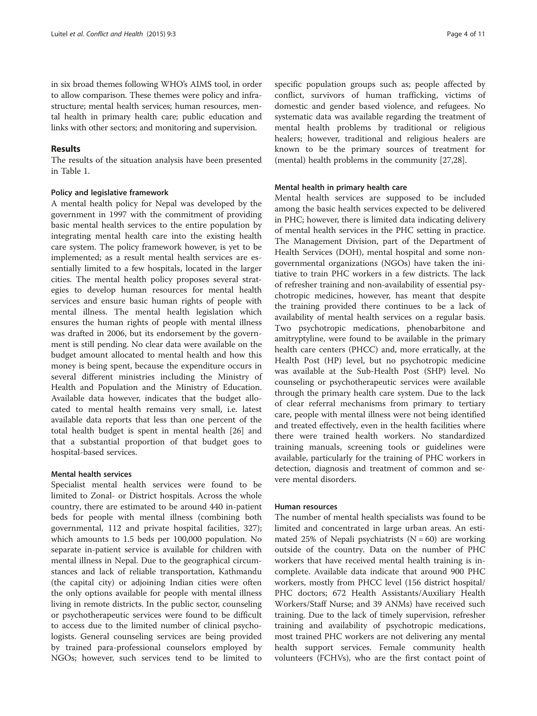in six broad themes following WHO's AIMS tool, in order to allow comparison. These themes were policy and infrastructure; mental health services; human resources, mental health in primary health care; public education and links with other sectors; and monitoring and supervision.

## Results

The results of the situation analysis have been presented in Table [1.](#page-4-0)

#### Policy and legislative framework

A mental health policy for Nepal was developed by the government in 1997 with the commitment of providing basic mental health services to the entire population by integrating mental health care into the existing health care system. The policy framework however, is yet to be implemented; as a result mental health services are essentially limited to a few hospitals, located in the larger cities. The mental health policy proposes several strategies to develop human resources for mental health services and ensure basic human rights of people with mental illness. The mental health legislation which ensures the human rights of people with mental illness was drafted in 2006, but its endorsement by the government is still pending. No clear data were available on the budget amount allocated to mental health and how this money is being spent, because the expenditure occurs in several different ministries including the Ministry of Health and Population and the Ministry of Education. Available data however, indicates that the budget allocated to mental health remains very small, i.e. latest available data reports that less than one percent of the total health budget is spent in mental health [[26\]](#page-9-0) and that a substantial proportion of that budget goes to hospital-based services.

#### Mental health services

Specialist mental health services were found to be limited to Zonal- or District hospitals. Across the whole country, there are estimated to be around 440 in-patient beds for people with mental illness (combining both governmental, 112 and private hospital facilities, 327); which amounts to 1.5 beds per 100,000 population. No separate in-patient service is available for children with mental illness in Nepal. Due to the geographical circumstances and lack of reliable transportation, Kathmandu (the capital city) or adjoining Indian cities were often the only options available for people with mental illness living in remote districts. In the public sector, counseling or psychotherapeutic services were found to be difficult to access due to the limited number of clinical psychologists. General counseling services are being provided by trained para-professional counselors employed by NGOs; however, such services tend to be limited to

specific population groups such as; people affected by conflict, survivors of human trafficking, victims of domestic and gender based violence, and refugees. No systematic data was available regarding the treatment of mental health problems by traditional or religious healers; however, traditional and religious healers are known to be the primary sources of treatment for (mental) health problems in the community [[27,28\]](#page-9-0).

#### Mental health in primary health care

Mental health services are supposed to be included among the basic health services expected to be delivered in PHC; however, there is limited data indicating delivery of mental health services in the PHC setting in practice. The Management Division, part of the Department of Health Services (DOH), mental hospital and some nongovernmental organizations (NGOs) have taken the initiative to train PHC workers in a few districts. The lack of refresher training and non-availability of essential psychotropic medicines, however, has meant that despite the training provided there continues to be a lack of availability of mental health services on a regular basis. Two psychotropic medications, phenobarbitone and amitryptyline, were found to be available in the primary health care centers (PHCC) and, more erratically, at the Health Post (HP) level, but no psychotropic medicine was available at the Sub-Health Post (SHP) level. No counseling or psychotherapeutic services were available through the primary health care system. Due to the lack of clear referral mechanisms from primary to tertiary care, people with mental illness were not being identified and treated effectively, even in the health facilities where there were trained health workers. No standardized training manuals, screening tools or guidelines were available, particularly for the training of PHC workers in detection, diagnosis and treatment of common and severe mental disorders.

## Human resources

The number of mental health specialists was found to be limited and concentrated in large urban areas. An estimated 25% of Nepali psychiatrists  $(N = 60)$  are working outside of the country. Data on the number of PHC workers that have received mental health training is incomplete. Available data indicate that around 900 PHC workers, mostly from PHCC level (156 district hospital/ PHC doctors; 672 Health Assistants/Auxiliary Health Workers/Staff Nurse; and 39 ANMs) have received such training. Due to the lack of timely supervision, refresher training and availability of psychotropic medications, most trained PHC workers are not delivering any mental health support services. Female community health volunteers (FCHVs), who are the first contact point of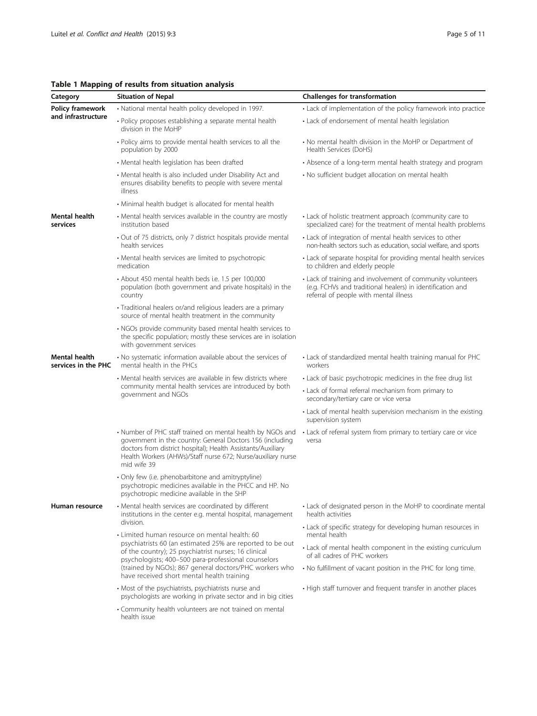## <span id="page-4-0"></span>Table 1 Mapping of results from situation analysis

| Category                                      | <b>Situation of Nepal</b>                                                                                                                                                                                                                                                                                                         | <b>Challenges for transformation</b>                                                                                                                               |
|-----------------------------------------------|-----------------------------------------------------------------------------------------------------------------------------------------------------------------------------------------------------------------------------------------------------------------------------------------------------------------------------------|--------------------------------------------------------------------------------------------------------------------------------------------------------------------|
| <b>Policy framework</b><br>and infrastructure | · National mental health policy developed in 1997.                                                                                                                                                                                                                                                                                | • Lack of implementation of the policy framework into practice                                                                                                     |
|                                               | • Policy proposes establishing a separate mental health<br>division in the MoHP                                                                                                                                                                                                                                                   | • Lack of endorsement of mental health legislation                                                                                                                 |
|                                               | • Policy aims to provide mental health services to all the<br>population by 2000                                                                                                                                                                                                                                                  | • No mental health division in the MoHP or Department of<br>Health Services (DoHS)                                                                                 |
|                                               | • Mental health legislation has been drafted                                                                                                                                                                                                                                                                                      | • Absence of a long-term mental health strategy and program                                                                                                        |
|                                               | • Mental health is also included under Disability Act and<br>ensures disability benefits to people with severe mental<br>illness                                                                                                                                                                                                  | • No sufficient budget allocation on mental health                                                                                                                 |
|                                               | • Minimal health budget is allocated for mental health                                                                                                                                                                                                                                                                            |                                                                                                                                                                    |
| Mental health<br>services                     | • Mental health services available in the country are mostly<br>institution based                                                                                                                                                                                                                                                 | • Lack of holistic treatment approach (community care to<br>specialized care) for the treatment of mental health problems                                          |
|                                               | • Out of 75 districts, only 7 district hospitals provide mental<br>health services                                                                                                                                                                                                                                                | • Lack of integration of mental health services to other<br>non-health sectors such as education, social welfare, and sports                                       |
|                                               | • Mental health services are limited to psychotropic<br>medication                                                                                                                                                                                                                                                                | • Lack of separate hospital for providing mental health services<br>to children and elderly people                                                                 |
|                                               | • About 450 mental health beds i.e. 1.5 per 100,000<br>population (both government and private hospitals) in the<br>country                                                                                                                                                                                                       | • Lack of training and involvement of community volunteers<br>(e.g. FCHVs and traditional healers) in identification and<br>referral of people with mental illness |
|                                               | · Traditional healers or/and religious leaders are a primary<br>source of mental health treatment in the community                                                                                                                                                                                                                |                                                                                                                                                                    |
|                                               | • NGOs provide community based mental health services to<br>the specific population; mostly these services are in isolation<br>with government services                                                                                                                                                                           |                                                                                                                                                                    |
| Mental health<br>services in the PHC          | • No systematic information available about the services of<br>mental health in the PHCs                                                                                                                                                                                                                                          | • Lack of standardized mental health training manual for PHC<br>workers                                                                                            |
|                                               | • Mental health services are available in few districts where<br>community mental health services are introduced by both<br>government and NGOs                                                                                                                                                                                   | • Lack of basic psychotropic medicines in the free drug list                                                                                                       |
|                                               |                                                                                                                                                                                                                                                                                                                                   | • Lack of formal referral mechanism from primary to<br>secondary/tertiary care or vice versa                                                                       |
|                                               |                                                                                                                                                                                                                                                                                                                                   | • Lack of mental health supervision mechanism in the existing<br>supervision system                                                                                |
|                                               | • Number of PHC staff trained on mental health by NGOs and<br>government in the country: General Doctors 156 (including<br>doctors from district hospital); Health Assistants/Auxiliary<br>Health Workers (AHWs)/Staff nurse 672; Nurse/auxiliary nurse<br>mid wife 39                                                            | • Lack of referral system from primary to tertiary care or vice<br>versa                                                                                           |
|                                               | · Only few (i.e. phenobarbitone and amitryptyline)<br>psychotropic medicines available in the PHCC and HP. No<br>psychotropic medicine available in the SHP                                                                                                                                                                       |                                                                                                                                                                    |
| Human resource                                | • Mental health services are coordinated by different<br>institutions in the center e.g. mental hospital, management                                                                                                                                                                                                              | • Lack of designated person in the MoHP to coordinate mental<br>health activities                                                                                  |
|                                               | division.                                                                                                                                                                                                                                                                                                                         | • Lack of specific strategy for developing human resources in                                                                                                      |
|                                               | • Limited human resource on mental health: 60<br>psychiatrists 60 (an estimated 25% are reported to be out<br>of the country); 25 psychiatrist nurses; 16 clinical<br>psychologists; 400-500 para-professional counselors<br>(trained by NGOs); 867 general doctors/PHC workers who<br>have received short mental health training | mental health<br>• Lack of mental health component in the existing curriculum<br>of all cadres of PHC workers                                                      |
|                                               |                                                                                                                                                                                                                                                                                                                                   | . No fulfillment of vacant position in the PHC for long time.                                                                                                      |
|                                               | • Most of the psychiatrists, psychiatrists nurse and<br>psychologists are working in private sector and in big cities                                                                                                                                                                                                             | • High staff turnover and frequent transfer in another places                                                                                                      |
|                                               | • Community health volunteers are not trained on mental<br>health issue                                                                                                                                                                                                                                                           |                                                                                                                                                                    |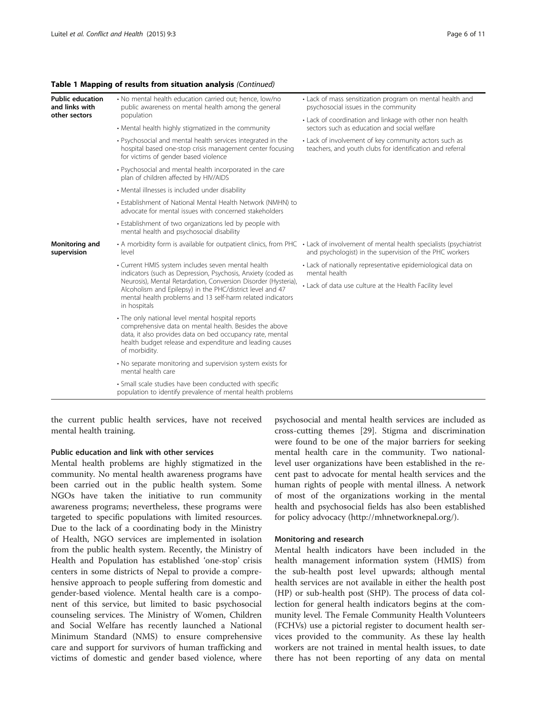| • Lack of mass sensitization program on mental health and<br>psychosocial issues in the community                  |                                                                                                                                                                                              |
|--------------------------------------------------------------------------------------------------------------------|----------------------------------------------------------------------------------------------------------------------------------------------------------------------------------------------|
| • Lack of coordination and linkage with other non health<br>sectors such as education and social welfare           |                                                                                                                                                                                              |
| • Lack of involvement of key community actors such as<br>teachers, and youth clubs for identification and referral |                                                                                                                                                                                              |
|                                                                                                                    | • A morbidity form is available for outpatient clinics, from PHC • Lack of involvement of mental health specialists (psychiatrist<br>and psychologist) in the supervision of the PHC workers |
|                                                                                                                    | • Lack of nationally representative epidemiological data on<br>mental health                                                                                                                 |
|                                                                                                                    | • Lack of data use culture at the Health Facility level                                                                                                                                      |
|                                                                                                                    |                                                                                                                                                                                              |
|                                                                                                                    |                                                                                                                                                                                              |
|                                                                                                                    |                                                                                                                                                                                              |

the current public health services, have not received mental health training.

#### Public education and link with other services

Mental health problems are highly stigmatized in the community. No mental health awareness programs have been carried out in the public health system. Some NGOs have taken the initiative to run community awareness programs; nevertheless, these programs were targeted to specific populations with limited resources. Due to the lack of a coordinating body in the Ministry of Health, NGO services are implemented in isolation from the public health system. Recently, the Ministry of Health and Population has established 'one-stop' crisis centers in some districts of Nepal to provide a comprehensive approach to people suffering from domestic and gender-based violence. Mental health care is a component of this service, but limited to basic psychosocial counseling services. The Ministry of Women, Children and Social Welfare has recently launched a National Minimum Standard (NMS) to ensure comprehensive care and support for survivors of human trafficking and victims of domestic and gender based violence, where

psychosocial and mental health services are included as cross-cutting themes [[29\]](#page-9-0). Stigma and discrimination were found to be one of the major barriers for seeking mental health care in the community. Two nationallevel user organizations have been established in the recent past to advocate for mental health services and the human rights of people with mental illness. A network of most of the organizations working in the mental health and psychosocial fields has also been established for policy advocacy [\(http://mhnetworknepal.org/\)](http://mhnetworknepal.org/).

#### Monitoring and research

Mental health indicators have been included in the health management information system (HMIS) from the sub-health post level upwards; although mental health services are not available in either the health post (HP) or sub-health post (SHP). The process of data collection for general health indicators begins at the community level. The Female Community Health Volunteers (FCHVs) use a pictorial register to document health services provided to the community. As these lay health workers are not trained in mental health issues, to date there has not been reporting of any data on mental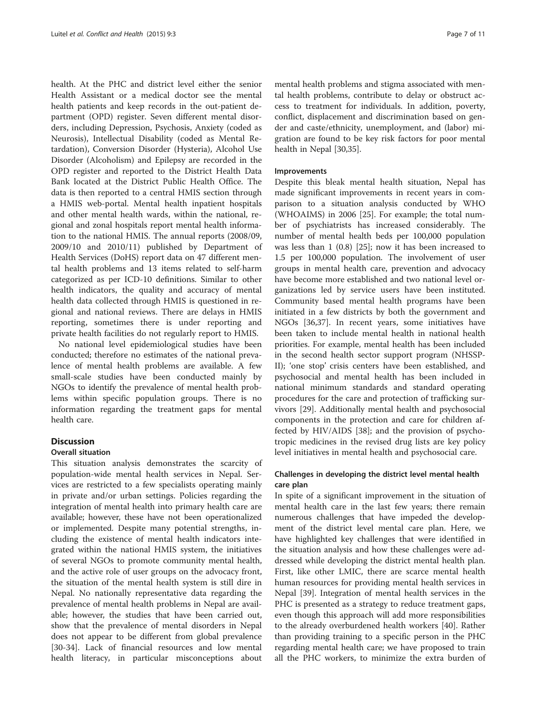health. At the PHC and district level either the senior Health Assistant or a medical doctor see the mental health patients and keep records in the out-patient department (OPD) register. Seven different mental disorders, including Depression, Psychosis, Anxiety (coded as Neurosis), Intellectual Disability (coded as Mental Retardation), Conversion Disorder (Hysteria), Alcohol Use Disorder (Alcoholism) and Epilepsy are recorded in the OPD register and reported to the District Health Data Bank located at the District Public Health Office. The data is then reported to a central HMIS section through a HMIS web-portal. Mental health inpatient hospitals and other mental health wards, within the national, regional and zonal hospitals report mental health information to the national HMIS. The annual reports (2008/09, 2009/10 and 2010/11) published by Department of Health Services (DoHS) report data on 47 different mental health problems and 13 items related to self-harm categorized as per ICD-10 definitions. Similar to other health indicators, the quality and accuracy of mental health data collected through HMIS is questioned in regional and national reviews. There are delays in HMIS reporting, sometimes there is under reporting and private health facilities do not regularly report to HMIS.

No national level epidemiological studies have been conducted; therefore no estimates of the national prevalence of mental health problems are available. A few small-scale studies have been conducted mainly by NGOs to identify the prevalence of mental health problems within specific population groups. There is no information regarding the treatment gaps for mental health care.

#### **Discussion**

## Overall situation

This situation analysis demonstrates the scarcity of population-wide mental health services in Nepal. Services are restricted to a few specialists operating mainly in private and/or urban settings. Policies regarding the integration of mental health into primary health care are available; however, these have not been operationalized or implemented. Despite many potential strengths, including the existence of mental health indicators integrated within the national HMIS system, the initiatives of several NGOs to promote community mental health, and the active role of user groups on the advocacy front, the situation of the mental health system is still dire in Nepal. No nationally representative data regarding the prevalence of mental health problems in Nepal are available; however, the studies that have been carried out, show that the prevalence of mental disorders in Nepal does not appear to be different from global prevalence [[30-34](#page-9-0)]. Lack of financial resources and low mental health literacy, in particular misconceptions about

mental health problems and stigma associated with mental health problems, contribute to delay or obstruct access to treatment for individuals. In addition, poverty, conflict, displacement and discrimination based on gender and caste/ethnicity, unemployment, and (labor) migration are found to be key risk factors for poor mental health in Nepal [[30,35\]](#page-9-0).

#### Improvements

Despite this bleak mental health situation, Nepal has made significant improvements in recent years in comparison to a situation analysis conducted by WHO (WHOAIMS) in 2006 [[25\]](#page-9-0). For example; the total number of psychiatrists has increased considerably. The number of mental health beds per 100,000 population was less than 1 (0.8) [\[25\]](#page-9-0); now it has been increased to 1.5 per 100,000 population. The involvement of user groups in mental health care, prevention and advocacy have become more established and two national level organizations led by service users have been instituted. Community based mental health programs have been initiated in a few districts by both the government and NGOs [[36,37\]](#page-9-0). In recent years, some initiatives have been taken to include mental health in national health priorities. For example, mental health has been included in the second health sector support program (NHSSP-II); 'one stop' crisis centers have been established, and psychosocial and mental health has been included in national minimum standards and standard operating procedures for the care and protection of trafficking survivors [[29](#page-9-0)]. Additionally mental health and psychosocial components in the protection and care for children affected by HIV/AIDS [[38](#page-9-0)]; and the provision of psychotropic medicines in the revised drug lists are key policy level initiatives in mental health and psychosocial care.

## Challenges in developing the district level mental health care plan

In spite of a significant improvement in the situation of mental health care in the last few years; there remain numerous challenges that have impeded the development of the district level mental care plan. Here, we have highlighted key challenges that were identified in the situation analysis and how these challenges were addressed while developing the district mental health plan. First, like other LMIC, there are scarce mental health human resources for providing mental health services in Nepal [[39\]](#page-9-0). Integration of mental health services in the PHC is presented as a strategy to reduce treatment gaps, even though this approach will add more responsibilities to the already overburdened health workers [[40\]](#page-9-0). Rather than providing training to a specific person in the PHC regarding mental health care; we have proposed to train all the PHC workers, to minimize the extra burden of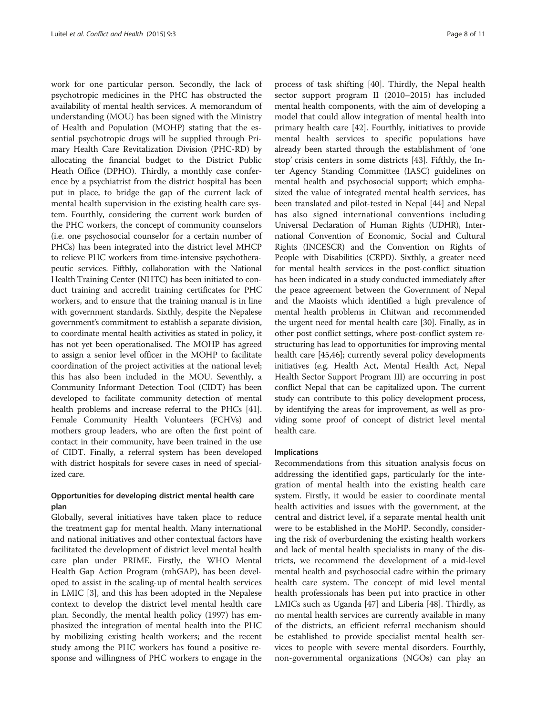work for one particular person. Secondly, the lack of psychotropic medicines in the PHC has obstructed the availability of mental health services. A memorandum of understanding (MOU) has been signed with the Ministry of Health and Population (MOHP) stating that the essential psychotropic drugs will be supplied through Primary Health Care Revitalization Division (PHC-RD) by allocating the financial budget to the District Public Heath Office (DPHO). Thirdly, a monthly case conference by a psychiatrist from the district hospital has been put in place, to bridge the gap of the current lack of mental health supervision in the existing health care system. Fourthly, considering the current work burden of the PHC workers, the concept of community counselors (i.e. one psychosocial counselor for a certain number of PHCs) has been integrated into the district level MHCP to relieve PHC workers from time-intensive psychotherapeutic services. Fifthly, collaboration with the National Health Training Center (NHTC) has been initiated to conduct training and accredit training certificates for PHC workers, and to ensure that the training manual is in line with government standards. Sixthly, despite the Nepalese government's commitment to establish a separate division, to coordinate mental health activities as stated in policy, it has not yet been operationalised. The MOHP has agreed to assign a senior level officer in the MOHP to facilitate coordination of the project activities at the national level; this has also been included in the MOU. Seventhly, a Community Informant Detection Tool (CIDT) has been developed to facilitate community detection of mental health problems and increase referral to the PHCs [[41](#page-9-0)]. Female Community Health Volunteers (FCHVs) and mothers group leaders, who are often the first point of contact in their community, have been trained in the use of CIDT. Finally, a referral system has been developed with district hospitals for severe cases in need of specialized care.

## Opportunities for developing district mental health care plan

Globally, several initiatives have taken place to reduce the treatment gap for mental health. Many international and national initiatives and other contextual factors have facilitated the development of district level mental health care plan under PRIME. Firstly, the WHO Mental Health Gap Action Program (mhGAP), has been developed to assist in the scaling-up of mental health services in LMIC [\[3](#page-9-0)], and this has been adopted in the Nepalese context to develop the district level mental health care plan. Secondly, the mental health policy (1997) has emphasized the integration of mental health into the PHC by mobilizing existing health workers; and the recent study among the PHC workers has found a positive response and willingness of PHC workers to engage in the

process of task shifting [\[40\]](#page-9-0). Thirdly, the Nepal health sector support program II (2010–2015) has included mental health components, with the aim of developing a model that could allow integration of mental health into primary health care [\[42](#page-9-0)]. Fourthly, initiatives to provide mental health services to specific populations have already been started through the establishment of 'one stop' crisis centers in some districts [[43](#page-9-0)]. Fifthly, the Inter Agency Standing Committee (IASC) guidelines on mental health and psychosocial support; which emphasized the value of integrated mental health services, has been translated and pilot-tested in Nepal [[44\]](#page-9-0) and Nepal has also signed international conventions including Universal Declaration of Human Rights (UDHR), International Convention of Economic, Social and Cultural Rights (INCESCR) and the Convention on Rights of People with Disabilities (CRPD). Sixthly, a greater need for mental health services in the post-conflict situation has been indicated in a study conducted immediately after the peace agreement between the Government of Nepal and the Maoists which identified a high prevalence of mental health problems in Chitwan and recommended the urgent need for mental health care [\[30\]](#page-9-0). Finally, as in other post conflict settings, where post-conflict system restructuring has lead to opportunities for improving mental health care [[45](#page-9-0)[,46](#page-10-0)]; currently several policy developments initiatives (e.g. Health Act, Mental Health Act, Nepal Health Sector Support Program III) are occurring in post conflict Nepal that can be capitalized upon. The current study can contribute to this policy development process, by identifying the areas for improvement, as well as providing some proof of concept of district level mental health care.

#### Implications

Recommendations from this situation analysis focus on addressing the identified gaps, particularly for the integration of mental health into the existing health care system. Firstly, it would be easier to coordinate mental health activities and issues with the government, at the central and district level, if a separate mental health unit were to be established in the MoHP. Secondly, considering the risk of overburdening the existing health workers and lack of mental health specialists in many of the districts, we recommend the development of a mid-level mental health and psychosocial cadre within the primary health care system. The concept of mid level mental health professionals has been put into practice in other LMICs such as Uganda [\[47](#page-10-0)] and Liberia [\[48](#page-10-0)]. Thirdly, as no mental health services are currently available in many of the districts, an efficient referral mechanism should be established to provide specialist mental health services to people with severe mental disorders. Fourthly, non-governmental organizations (NGOs) can play an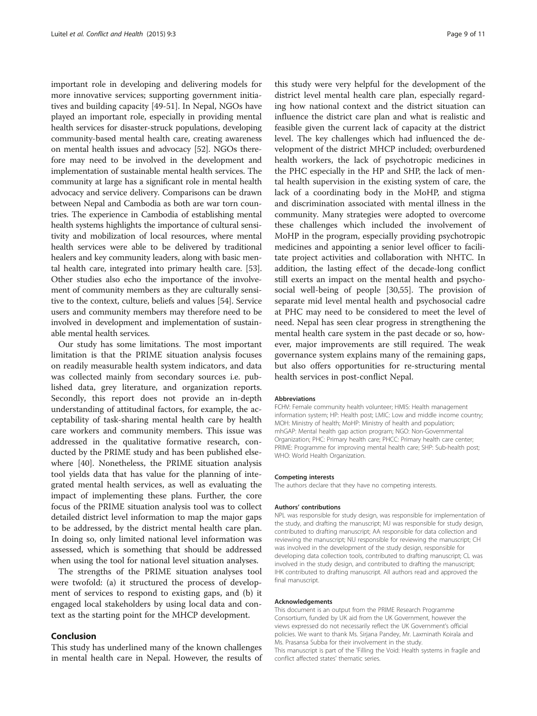important role in developing and delivering models for more innovative services; supporting government initiatives and building capacity [\[49-51](#page-10-0)]. In Nepal, NGOs have played an important role, especially in providing mental health services for disaster-struck populations, developing community-based mental health care, creating awareness on mental health issues and advocacy [\[52](#page-10-0)]. NGOs therefore may need to be involved in the development and implementation of sustainable mental health services. The community at large has a significant role in mental health advocacy and service delivery. Comparisons can be drawn between Nepal and Cambodia as both are war torn countries. The experience in Cambodia of establishing mental health systems highlights the importance of cultural sensitivity and mobilization of local resources, where mental health services were able to be delivered by traditional healers and key community leaders, along with basic mental health care, integrated into primary health care. [[53](#page-10-0)]. Other studies also echo the importance of the involvement of community members as they are culturally sensitive to the context, culture, beliefs and values [\[54\]](#page-10-0). Service users and community members may therefore need to be involved in development and implementation of sustainable mental health services.

Our study has some limitations. The most important limitation is that the PRIME situation analysis focuses on readily measurable health system indicators, and data was collected mainly from secondary sources i.e. published data, grey literature, and organization reports. Secondly, this report does not provide an in-depth understanding of attitudinal factors, for example, the acceptability of task-sharing mental health care by health care workers and community members. This issue was addressed in the qualitative formative research, conducted by the PRIME study and has been published elsewhere [\[40](#page-9-0)]. Nonetheless, the PRIME situation analysis tool yields data that has value for the planning of integrated mental health services, as well as evaluating the impact of implementing these plans. Further, the core focus of the PRIME situation analysis tool was to collect detailed district level information to map the major gaps to be addressed, by the district mental health care plan. In doing so, only limited national level information was assessed, which is something that should be addressed when using the tool for national level situation analyses.

The strengths of the PRIME situation analyses tool were twofold: (a) it structured the process of development of services to respond to existing gaps, and (b) it engaged local stakeholders by using local data and context as the starting point for the MHCP development.

#### Conclusion

This study has underlined many of the known challenges in mental health care in Nepal. However, the results of

this study were very helpful for the development of the district level mental health care plan, especially regarding how national context and the district situation can influence the district care plan and what is realistic and feasible given the current lack of capacity at the district level. The key challenges which had influenced the development of the district MHCP included; overburdened health workers, the lack of psychotropic medicines in the PHC especially in the HP and SHP, the lack of mental health supervision in the existing system of care, the lack of a coordinating body in the MoHP, and stigma and discrimination associated with mental illness in the community. Many strategies were adopted to overcome these challenges which included the involvement of MoHP in the program, especially providing psychotropic medicines and appointing a senior level officer to facilitate project activities and collaboration with NHTC. In addition, the lasting effect of the decade-long conflict still exerts an impact on the mental health and psychosocial well-being of people [[30](#page-9-0),[55](#page-10-0)]. The provision of separate mid level mental health and psychosocial cadre at PHC may need to be considered to meet the level of need. Nepal has seen clear progress in strengthening the mental health care system in the past decade or so, however, major improvements are still required. The weak governance system explains many of the remaining gaps, but also offers opportunities for re-structuring mental health services in post-conflict Nepal.

#### Abbreviations

FCHV: Female community health volunteer; HMIS: Health management information system; HP: Health post; LMIC: Low and middle income country; MOH: Ministry of health; MoHP: Ministry of health and population; mhGAP: Mental health gap action program; NGO: Non-Governmental Organization; PHC: Primary health care; PHCC: Primary health care center; PRIME: Programme for improving mental health care; SHP: Sub-health post; WHO: World Health Organization.

#### Competing interests

The authors declare that they have no competing interests.

#### Authors' contributions

NPL was responsible for study design, was responsible for implementation of the study, and drafting the manuscript; MJ was responsible for study design, contributed to drafting manuscript; AA responsible for data collection and reviewing the manuscript; NU responsible for reviewing the manuscript; CH was involved in the development of the study design, responsible for developing data collection tools, contributed to drafting manuscript; CL was involved in the study design, and contributed to drafting the manuscript; IHK contributed to drafting manuscript. All authors read and approved the final manuscript.

#### Acknowledgements

This document is an output from the PRIME Research Programme Consortium, funded by UK aid from the UK Government, however the views expressed do not necessarily reflect the UK Government's official policies. We want to thank Ms. Sirjana Pandey, Mr. Laxminath Koirala and Ms. Prasansa Subba for their involvement in the study. This manuscript is part of the 'Filling the Void: Health systems in fragile and conflict affected states' thematic series.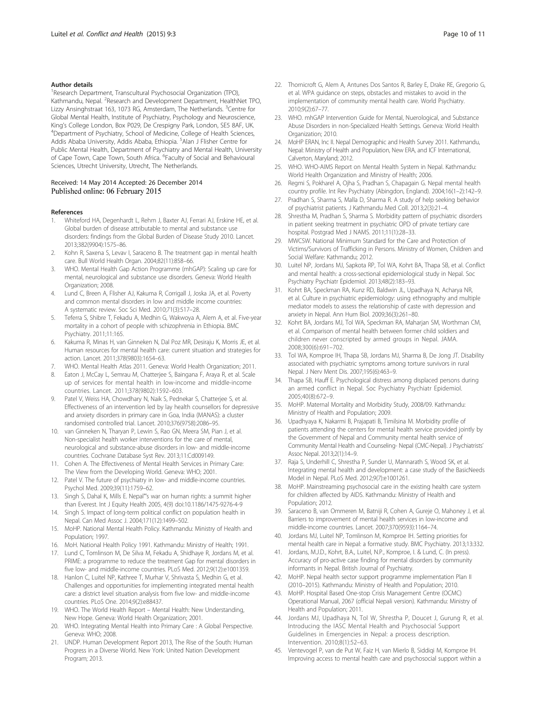#### <span id="page-9-0"></span>Author details

<sup>1</sup> Research Department, Transcultural Psychosocial Organization (TPO), Kathmandu, Nepal. <sup>2</sup>Research and Development Department, HealthNet TPO, Lizzy Ansinghstraat 163, 1073 RG, Amsterdam, The Netherlands. <sup>3</sup>Centre for Global Mental Health, Institute of Psychiatry, Psychology and Neuroscience, King's College London, Box P029, De Crespigny Park, London, SE5 8AF, UK. <sup>4</sup> <sup>4</sup>Department of Psychiatry, School of Medicine, College of Health Sciences, Addis Ababa University, Addis Ababa, Ethiopia. <sup>5</sup>Alan J Flisher Centre for Public Mental Health, Department of Psychiatry and Mental Health, University of Cape Town, Cape Town, South Africa. <sup>6</sup>Faculty of Social and Behavioural Sciences, Utrecht University, Utrecht, The Netherlands.

#### Received: 14 May 2014 Accepted: 26 December 2014 Published online: 06 February 2015

#### References

- 1. Whiteford HA, Degenhardt L, Rehm J, Baxter AJ, Ferrari AJ, Erskine HE, et al. Global burden of disease attributable to mental and substance use disorders: findings from the Global Burden of Disease Study 2010. Lancet. 2013;382(9904):1575–86.
- Kohn R, Saxena S, Levav I, Saraceno B. The treatment gap in mental health care. Bull World Health Organ. 2004;82(11):858–66.
- 3. WHO. Mental Health Gap Action Programme (mhGAP): Scaling up care for mental, neurological and substance use disorders. Geneva: World Health Organization; 2008.
- 4. Lund C, Breen A, Flisher AJ, Kakuma R, Corrigall J, Joska JA, et al. Poverty and common mental disorders in low and middle income countries: A systematic review. Soc Sci Med. 2010;71(3):517–28.
- 5. Teferra S, Shibre T, Fekadu A, Medhin G, Wakwoya A, Alem A, et al. Five-year mortality in a cohort of people with schizophrenia in Ethiopia. BMC Psychiatry. 2011;11:165.
- 6. Kakuma R, Minas H, van Ginneken N, Dal Poz MR, Desiraju K, Morris JE, et al. Human resources for mental health care: current situation and strategies for action. Lancet. 2011;378(9803):1654–63.
- 7. WHO. Mental Health Atlas 2011. Geneva: World Health Organization; 2011.
- 8. Eaton J, McCay L, Semrau M, Chatterjee S, Baingana F, Araya R, et al. Scale up of services for mental health in low-income and middle-income countries. Lancet. 2011;378(9802):1592–603.
- Patel V, Weiss HA, Chowdhary N, Naik S, Pednekar S, Chatterjee S, et al. Effectiveness of an intervention led by lay health counsellors for depressive and anxiety disorders in primary care in Goa, India (MANAS): a cluster randomised controlled trial. Lancet. 2010;376(9758):2086–95.
- 10. van Ginneken N, Tharyan P, Lewin S, Rao GN, Meera SM, Pian J, et al. Non-specialist health worker interventions for the care of mental, neurological and substance-abuse disorders in low- and middle-income countries. Cochrane Database Syst Rev. 2013;11:Cd009149.
- 11. Cohen A. The Effectiveness of Mental Health Services in Primary Care: The View from the Developing World. Geneva: WHO; 2001.
- 12. Patel V. The future of psychiatry in low- and middle-income countries. Psychol Med. 2009;39(11):1759–62.
- 13. Singh S, Dahal K, Mills E. Nepal"s war on human rights: a summit higher than Everest. Int J Equity Health 2005, 4(9) doi:10.1186/1475-9276-4-9
- 14. Singh S. Impact of long-term political conflict on population health in Nepal. Can Med Assoc J. 2004;171(12):1499–502.
- 15. MoHP. National Mental Health Policy. Kathmandu: Ministry of Health and Population; 1997.
- 16. MoH. National Health Policy 1991. Kathmandu: Ministry of Health; 1991.
- 17. Lund C, Tomlinson M, De Silva M, Fekadu A, Shidhaye R, Jordans M, et al. PRIME: a programme to reduce the treatment Gap for mental disorders in five low- and middle-income countries. PLoS Med. 2012;9(12):e1001359.
- 18. Hanlon C, Luitel NP, Kathree T, Murhar V, Shrivasta S, Medhin G, et al. Challenges and opportunities for implementing integrated mental health care: a district level situation analysis from five low- and middle-income countries. PLoS One. 2014;9(2):e88437.
- 19. WHO. The World Health Report Mental Health: New Understanding, New Hope. Geneva: World Health Organization; 2001.
- 20. WHO. Integrating Mental Health into Primary Care : A Global Perspective. Geneva: WHO; 2008.
- 21. UNDP. Human Development Report 2013, The Rise of the South: Human Progress in a Diverse World. New York: United Nation Development Program; 2013.
- 22. Thornicroft G, Alem A, Antunes Dos Santos R, Barley E, Drake RE, Gregorio G, et al. WPA guidance on steps, obstacles and mistakes to avoid in the implementation of community mental health care. World Psychiatry. 2010;9(2):67–77.
- 23. WHO. mhGAP Intervention Guide for Mental, Nuerological, and Substance Abuse Disorders in non-Specialized Health Settings. Geneva: World Health Organization; 2010.
- 24. MoHP ERAN, Inc II. Nepal Demographic and Health Survey 2011. Kathmandu, Nepal: Ministry of Health and Population, New ERA, and ICF International, Calverton, Maryland; 2012.
- 25. WHO. WHO-AIMS Report on Mental Health System in Nepal. Kathmandu: World Health Organization and Ministry of Health; 2006.
- 26. Regmi S, Pokharel A, Ojha S, Pradhan S, Chapagain G. Nepal mental health country profile. Int Rev Psychiatry (Abingdon, England). 2004;16(1–2):142–9.
- 27. Pradhan S, Sharma S, Malla D, Sharma R. A study of help seeking behavior of psychiatrist patients. J Kathmandu Med Coll. 2013;2(3):21–4.
- 28. Shrestha M, Pradhan S, Sharma S. Morbidity pattern of psychiatric disorders in patient seeking treatment in psychiatric OPD of private tertiary care hospital. Postgrad Med J NAMS. 2011;11(1):28–33.
- 29. MWCSW. National Minimum Standard for the Care and Protection of Victims/Survivors of Trafficking in Persons. Ministry of Women, Children and Social Welfare: Kathmandu; 2012.
- 30. Luitel NP, Jordans MJ, Sapkota RP, Tol WA, Kohrt BA, Thapa SB, et al. Conflict and mental health: a cross-sectional epidemiological study in Nepal. Soc Psychiatry Psychiatr Epidemiol. 2013;48(2):183–93.
- 31. Kohrt BA, Speckman RA, Kunz RD, Baldwin JL, Upadhaya N, Acharya NR, et al. Culture in psychiatric epidemiology: using ethnography and multiple mediator models to assess the relationship of caste with depression and anxiety in Nepal. Ann Hum Biol. 2009;36(3):261–80.
- 32. Kohrt BA, Jordans MJ, Tol WA, Speckman RA, Maharjan SM, Worthman CM, et al. Comparison of mental health between former child soldiers and children never conscripted by armed groups in Nepal. JAMA. 2008;300(6):691–702.
- 33. Tol WA, Komproe IH, Thapa SB, Jordans MJ, Sharma B, De Jong JT. Disability associated with psychiatric symptoms among torture survivors in rural Nepal. J Nerv Ment Dis. 2007;195(6):463–9.
- 34. Thapa SB, Hauff E. Psychological distress among displaced persons during an armed conflict in Nepal. Soc Psychiatry Psychiatr Epidemiol. 2005;40(8):672–9.
- 35. MoHP. Maternal Mortality and Morbidity Study, 2008/09. Kathmandu: Ministry of Health and Population; 2009.
- 36. Upadhyaya K, Nakarmi B, Prajapati B, Timilsina M. Morbidity profile of patients attending the centers for mental health service provided jointly by the Government of Nepal and Community mental health service of Community Mental Health and Counseling- Nepal (CMC-Nepal). J Psychiatrists' Assoc Nepal. 2013;2(1):14–9.
- 37. Raja S, Underhill C, Shrestha P, Sunder U, Mannarath S, Wood SK, et al. Integrating mental health and development: a case study of the BasicNeeds Model in Nepal. PLoS Med. 2012;9(7):e1001261.
- 38. MoHP. Mainstreaming psychosocial care in the existing health care system for children affected by AIDS. Kathmandu: Ministry of Health and Population; 2012.
- 39. Saraceno B, van Ommeren M, Batniji R, Cohen A, Gureje O, Mahoney J, et al. Barriers to improvement of mental health services in low-income and middle-income countries. Lancet. 2007;370(9593):1164–74.
- 40. Jordans MJ, Luitel NP, Tomlinson M, Komproe IH. Setting priorities for mental health care in Nepal: a formative study. BMC Psychiatry. 2013;13:332.
- 41. Jordans, M.J.D., Kohrt, B.A., Luitel, N.P., Komproe, I. & Lund, C. (In press). Accuracy of pro-active case finding for mental disorders by community informants in Nepal. British Journal of Psychiatry.
- 42. MoHP. Nepal health sector support programme implementation Plan II (2010–2015). Kathmandu: Ministry of Health and Population; 2010.
- 43. MoHP. Hospital Based One-stop Crisis Management Centre (OCMC) Operational Manual, 2067 (official Nepali version). Kathmandu: Ministry of Health and Population; 2011.
- 44. Jordans MJ, Upadhaya N, Tol W, Shrestha P, Doucet J, Gurung R, et al. Introducing the IASC Mental Health and Psychosocial Support Guidelines in Emergencies in Nepal: a process description. Intervention. 2010;8(1):52–63.
- 45. Ventevogel P, van de Put W, Faiz H, van Mierlo B, Siddiqi M, Komproe IH. Improving access to mental health care and psychosocial support within a